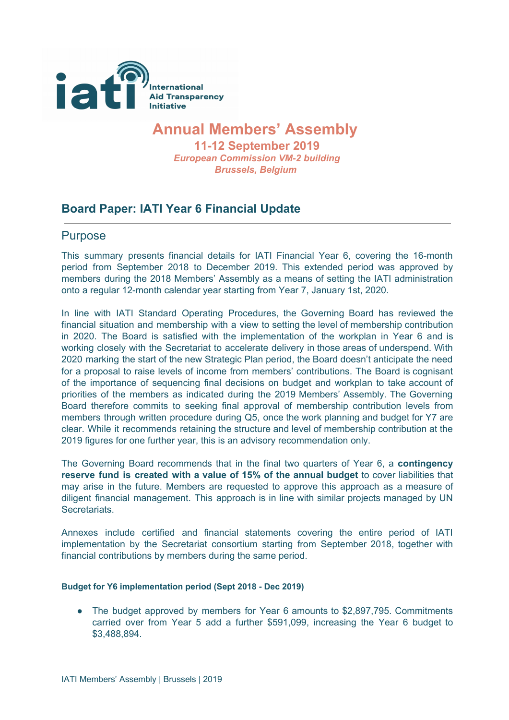

## **Annual Members' Assembly**

**11-12 September 2019** *European Commission VM-2 building Brussels, Belgium*

## **Board Paper: IATI Year 6 Financial Update**

### Purpose

This summary presents financial details for IATI Financial Year 6, covering the 16-month period from September 2018 to December 2019. This extended period was approved by members during the 2018 Members' Assembly as a means of setting the IATI administration onto a regular 12-month calendar year starting from Year 7, January 1st, 2020.

In line with IATI Standard Operating Procedures, the Governing Board has reviewed the financial situation and membership with a view to setting the level of membership contribution in 2020. The Board is satisfied with the implementation of the workplan in Year 6 and is working closely with the Secretariat to accelerate delivery in those areas of underspend. With 2020 marking the start of the new Strategic Plan period, the Board doesn't anticipate the need for a proposal to raise levels of income from members' contributions. The Board is cognisant of the importance of sequencing final decisions on budget and workplan to take account of priorities of the members as indicated during the 2019 Members' Assembly. The Governing Board therefore commits to seeking final approval of membership contribution levels from members through written procedure during Q5, once the work planning and budget for Y7 are clear. While it recommends retaining the structure and level of membership contribution at the 2019 figures for one further year, this is an advisory recommendation only.

The Governing Board recommends that in the final two quarters of Year 6, a **contingency reserve fund is created with a value of 15% of the annual budget** to cover liabilities that may arise in the future. Members are requested to approve this approach as a measure of diligent financial management. This approach is in line with similar projects managed by UN **Secretariats** 

Annexes include certified and financial statements covering the entire period of IATI implementation by the Secretariat consortium starting from September 2018, together with financial contributions by members during the same period.

#### **Budget for Y6 implementation period (Sept 2018 - Dec 2019)**

• The budget approved by members for Year 6 amounts to \$2,897,795. Commitments carried over from Year 5 add a further \$591,099, increasing the Year 6 budget to \$3,488,894.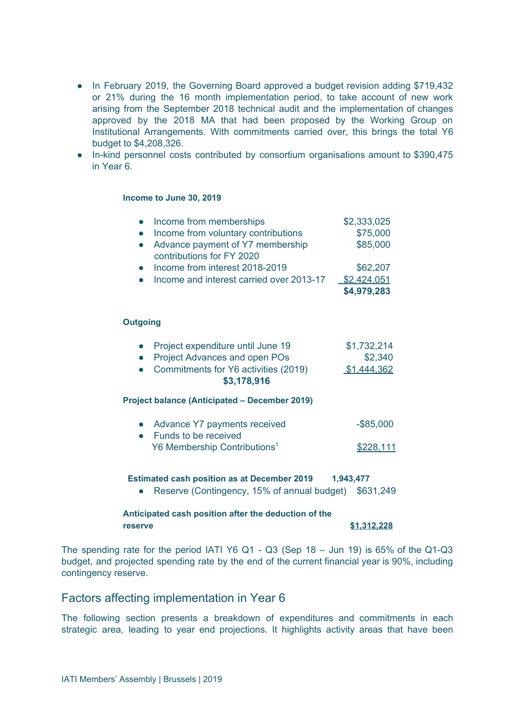- In February 2019, the Governing Board approved a budget revision adding \$719,432 or 21% during the 16 month implementation period, to take account of new work arising from the September 2018 technical audit and the implementation of changes approved by the 2018 MA that had been proposed by the Working Group on Institutional Arrangements. With commitments carried over, this brings the total Y6 budget to \$4,208,326.
- In-kind personnel costs contributed by consortium organisations amount to \$390,475 in Year 6.

#### **Income to June 30, 2019**

| Income from memberships<br>Income from voluntary contributions<br>Advance payment of Y7 membership<br>contributions for FY 2020 | \$2,333,025<br>\$75,000<br>\$85,000 |
|---------------------------------------------------------------------------------------------------------------------------------|-------------------------------------|
| Income from interest 2018-2019                                                                                                  | \$62,207                            |
| Income and interest carried over 2013-17                                                                                        | \$2,424,051<br>\$4,979,283          |
| <b>Outgoing</b>                                                                                                                 |                                     |
|                                                                                                                                 |                                     |
| Project expenditure until June 19<br><b>Project Advances and open POs</b>                                                       | \$1,732,214<br>\$2,340              |
| Commitments for Y6 activities (2019)<br>\$3,178,916                                                                             | \$1,444,362                         |
| <b>Project balance (Anticipated – December 2019)</b>                                                                            |                                     |
| Advance Y7 payments received<br>Funds to be received                                                                            | $-$ \$85,000                        |
| Y6 Membership Contributions <sup>1</sup>                                                                                        | \$228.111                           |

#### **Estimated cash position as at December 2019 1,943,477**

● Reserve (Contingency, 15% of annual budget) \$631,249

#### **Anticipated cash position after the deduction of the reserve \$1,312,228**

The spending rate for the period IATI Y6 Q1 - Q3 (Sep 18 – Jun 19) is 65% of the Q1-Q3 budget, and projected spending rate by the end of the current financial year is 90%, including contingency reserve.

#### Factors affecting implementation in Year 6

The following section presents a breakdown of expenditures and commitments in each strategic area, leading to year end projections. It highlights activity areas that have been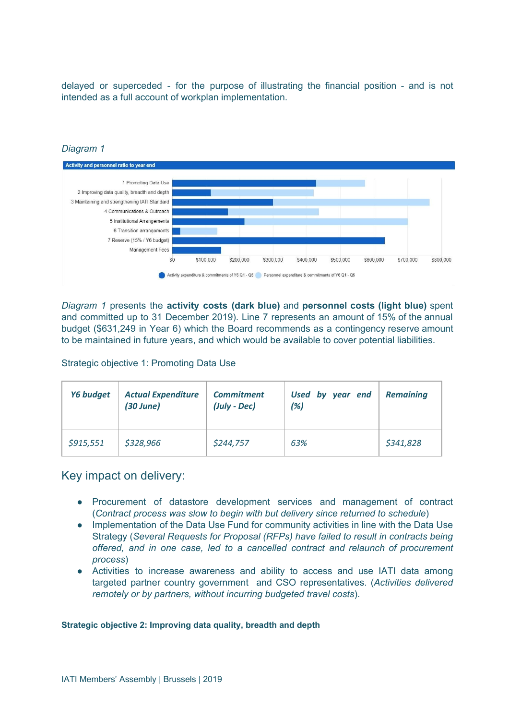delayed or superceded - for the purpose of illustrating the financial position - and is not intended as a full account of workplan implementation.



#### *Diagram 1*

*Diagram 1* presents the **activity costs (dark blue)** and **personnel costs (light blue)** spent and committed up to 31 December 2019). Line 7 represents an amount of 15% of the annual budget (\$631,249 in Year 6) which the Board recommends as a contingency reserve amount to be maintained in future years, and which would be available to cover potential liabilities.

Strategic objective 1: Promoting Data Use

| Y6 budget | <b>Actual Expenditure</b><br>(30 June) | <b>Commitment</b><br>(July - Dec) | Used by year end<br>(%) | <b>Remaining</b> |
|-----------|----------------------------------------|-----------------------------------|-------------------------|------------------|
| \$915,551 | \$328,966                              | \$244,757                         | 63%                     | \$341,828        |

Key impact on delivery:

- Procurement of datastore development services and management of contract (*Contract process was slow to begin with but delivery since returned to schedule*)
- Implementation of the Data Use Fund for community activities in line with the Data Use Strategy (*Several Requests for Proposal (RFPs) have failed to result in contracts being offered, and in one case, led to a cancelled contract and relaunch of procurement process*)
- Activities to increase awareness and ability to access and use IATI data among targeted partner country government and CSO representatives. (*Activities delivered remotely or by partners, without incurring budgeted travel costs*).

#### **Strategic objective 2: Improving data quality, breadth and depth**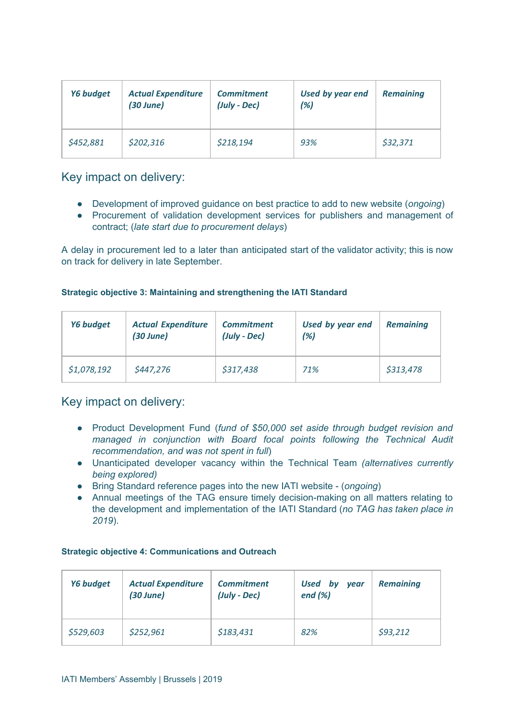| Y6 budget | <b>Actual Expenditure</b><br>(30 June) | <b>Commitment</b><br>(July - Dec) | <b>Used by year end</b><br>(%) | <b>Remaining</b> |
|-----------|----------------------------------------|-----------------------------------|--------------------------------|------------------|
| \$452,881 | \$202,316                              | \$218,194                         | 93%                            | \$32,371         |

## Key impact on delivery:

- Development of improved guidance on best practice to add to new website (*ongoing*)
- Procurement of validation development services for publishers and management of contract; (*late start due to procurement delays*)

A delay in procurement led to a later than anticipated start of the validator activity; this is now on track for delivery in late September.

#### **Strategic objective 3: Maintaining and strengthening the IATI Standard**

| Y6 budget   | <b>Actual Expenditure</b><br>(30 June) | <b>Commitment</b><br>(July - Dec) | Used by year end<br>(%) | <b>Remaining</b> |
|-------------|----------------------------------------|-----------------------------------|-------------------------|------------------|
| \$1,078,192 | \$447,276                              | \$317,438                         | 71%                     | \$313,478        |

## Key impact on delivery:

- Product Development Fund (*fund of \$50,000 set aside through budget revision and managed in conjunction with Board focal points following the Technical Audit recommendation, and was not spent in full*)
- Unanticipated developer vacancy within the Technical Team *(alternatives currently being explored)*
- Bring Standard reference pages into the new IATI website (*ongoing*)
- Annual meetings of the TAG ensure timely decision-making on all matters relating to the development and implementation of the IATI Standard (*no TAG has taken place in 2019*).

#### **Strategic objective 4: Communications and Outreach**

| Y6 budget | <b>Actual Expenditure</b><br>$(30$ June) | <b>Commitment</b><br>(July - Dec) | <b>Used</b><br>bv<br><b>vear</b><br>end $(\%)$ | <b>Remaining</b> |
|-----------|------------------------------------------|-----------------------------------|------------------------------------------------|------------------|
| \$529,603 | \$252,961                                | \$183,431                         | 82%                                            | \$93,212         |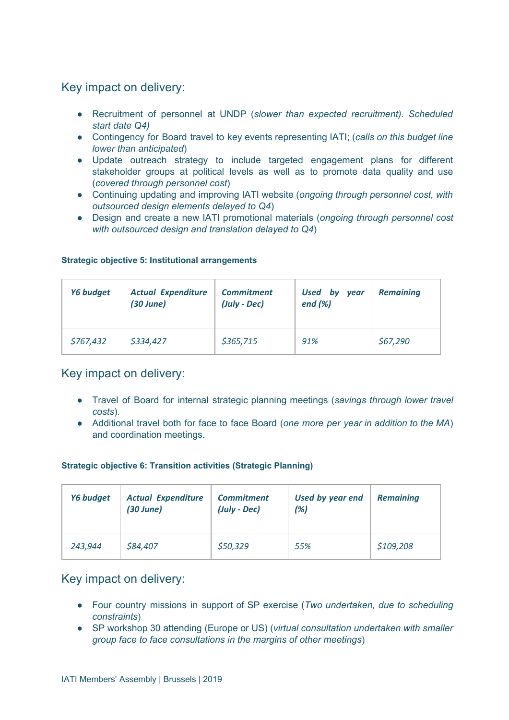## Key impact on delivery:

- Recruitment of personnel at UNDP (*slower than expected recruitment). Scheduled start date Q4)*
- Contingency for Board travel to key events representing IATI; (*calls on this budget line lower than anticipated*)
- Update outreach strategy to include targeted engagement plans for different stakeholder groups at political levels as well as to promote data quality and use (*covered through personnel cost*)
- Continuing updating and improving IATI website (*ongoing through personnel cost, with outsourced design elements delayed to Q4*)
- Design and create a new IATI promotional materials (*ongoing through personnel cost with outsourced design and translation delayed to Q4*)

| <b>Y6 budget</b> | <b>Actual Expenditure</b><br>$(30$ June) | <b>Commitment</b><br>(July - Dec) | Used by<br>year<br>end $(\%)$ | <b>Remaining</b> |
|------------------|------------------------------------------|-----------------------------------|-------------------------------|------------------|
| \$767,432        | \$334,427                                | \$365,715                         | 91%                           | \$67,290         |

#### **Strategic objective 5: Institutional arrangements**

## Key impact on delivery:

- Travel of Board for internal strategic planning meetings (*savings through lower travel costs*).
- Additional travel both for face to face Board (*one more per year in addition to the MA*) and coordination meetings.

#### **Strategic objective 6: Transition activities (Strategic Planning)**

| Y6 budget | <b>Actual Expenditure</b><br>(30 June) | <b>Commitment</b><br>(July - Dec) | Used by year end<br>(%) | <b>Remaining</b> |
|-----------|----------------------------------------|-----------------------------------|-------------------------|------------------|
| 243,944   | \$84,407                               | \$50,329                          | 55%                     | \$109,208        |

## Key impact on delivery:

- Four country missions in support of SP exercise (*Two undertaken, due to scheduling constraints*)
- SP workshop 30 attending (Europe or US) (*virtual consultation undertaken with smaller group face to face consultations in the margins of other meetings*)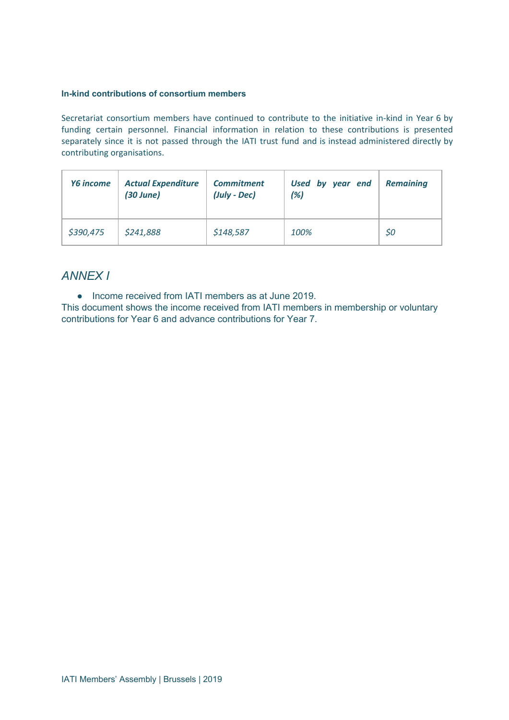#### **In-kind contributions of consortium members**

Secretariat consortium members have continued to contribute to the initiative in-kind in Year 6 by funding certain personnel. Financial information in relation to these contributions is presented separately since it is not passed through the IATI trust fund and is instead administered directly by contributing organisations.

| <b>Y6</b> income | <b>Actual Expenditure</b><br>$(30$ June) | <b>Commitment</b><br>(July - Dec) | Used by year end<br>(%) | <b>Remaining</b> |
|------------------|------------------------------------------|-----------------------------------|-------------------------|------------------|
| \$390,475        | \$241,888                                | \$148,587                         | 100%                    | \$0              |

## *ANNEX I*

● Income received from IATI members as at June 2019.

This document shows the income received from IATI members in membership or voluntary contributions for Year 6 and advance contributions for Year 7.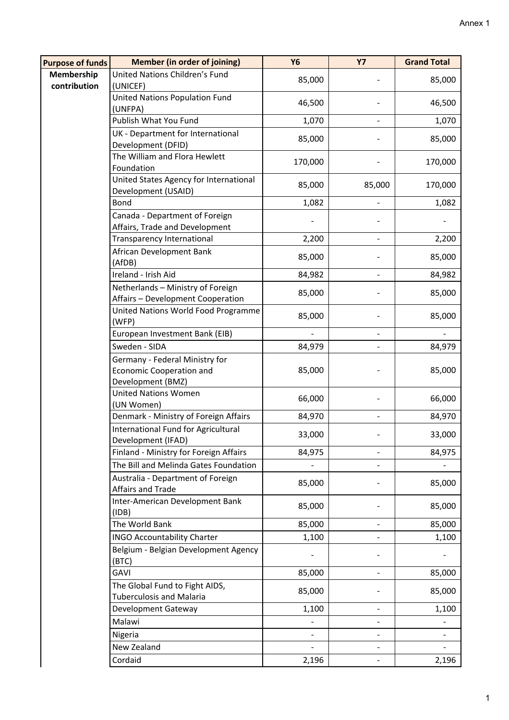| <b>Purpose of funds</b>    | <b>Member (in order of joining)</b>                                                    | <b>Y6</b> | <b>Y7</b>      | <b>Grand Total</b> |
|----------------------------|----------------------------------------------------------------------------------------|-----------|----------------|--------------------|
| Membership<br>contribution | United Nations Children's Fund<br>(UNICEF)                                             | 85,000    |                | 85,000             |
|                            | United Nations Population Fund<br>(UNFPA)                                              | 46,500    |                | 46,500             |
|                            | Publish What You Fund                                                                  | 1,070     |                | 1,070              |
|                            | UK - Department for International<br>Development (DFID)                                | 85,000    |                | 85,000             |
|                            | The William and Flora Hewlett<br>Foundation                                            | 170,000   |                | 170,000            |
|                            | United States Agency for International<br>Development (USAID)                          | 85,000    | 85,000         | 170,000            |
|                            | Bond                                                                                   | 1,082     |                | 1,082              |
|                            | Canada - Department of Foreign<br>Affairs, Trade and Development                       |           |                |                    |
|                            | <b>Transparency International</b>                                                      | 2,200     |                | 2,200              |
|                            | African Development Bank<br>(AfDB)                                                     | 85,000    |                | 85,000             |
|                            | Ireland - Irish Aid                                                                    | 84,982    |                | 84,982             |
|                            | Netherlands - Ministry of Foreign<br>Affairs - Development Cooperation                 | 85,000    |                | 85,000             |
|                            | United Nations World Food Programme<br>(WFP)                                           | 85,000    |                | 85,000             |
|                            | European Investment Bank (EIB)                                                         |           | $\overline{a}$ |                    |
|                            | Sweden - SIDA                                                                          | 84,979    |                | 84,979             |
|                            | Germany - Federal Ministry for<br><b>Economic Cooperation and</b><br>Development (BMZ) | 85,000    |                | 85,000             |
|                            | <b>United Nations Women</b><br>(UN Women)                                              | 66,000    |                | 66,000             |
|                            | Denmark - Ministry of Foreign Affairs                                                  | 84,970    |                | 84,970             |
|                            | International Fund for Agricultural<br>Development (IFAD)                              | 33,000    |                | 33,000             |
|                            | Finland - Ministry for Foreign Affairs                                                 | 84,975    |                | 84,975             |
|                            | The Bill and Melinda Gates Foundation                                                  |           |                |                    |
|                            | Australia - Department of Foreign<br>Affairs and Trade                                 | 85,000    |                | 85,000             |
|                            | Inter-American Development Bank<br>(IDB)                                               | 85,000    |                | 85,000             |
|                            | The World Bank                                                                         | 85,000    |                | 85,000             |
|                            | <b>INGO Accountability Charter</b>                                                     | 1,100     |                | 1,100              |
|                            | Belgium - Belgian Development Agency<br>(BTC)                                          |           |                |                    |
|                            | GAVI                                                                                   | 85,000    |                | 85,000             |
|                            | The Global Fund to Fight AIDS,<br><b>Tuberculosis and Malaria</b>                      | 85,000    |                | 85,000             |
|                            | Development Gateway                                                                    | 1,100     |                | 1,100              |
|                            | Malawi                                                                                 |           |                |                    |
|                            | Nigeria                                                                                |           |                |                    |
|                            | New Zealand                                                                            |           | $\overline{a}$ |                    |
|                            | Cordaid                                                                                | 2,196     |                | 2,196              |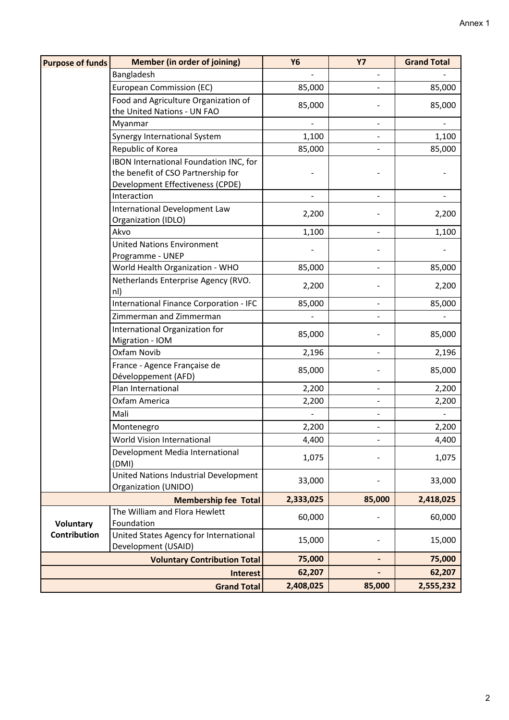| <b>Member (in order of joining)</b> | <b>Y6</b>                                                                                                                                                                                                                                                                                                                                                                                                                                                                                                                                                                                                                                                                                                                                                                                                                                                                                                                                                                                                                                                                     | <b>Y7</b>                                                                                                                                                              | <b>Grand Total</b>                                                  |
|-------------------------------------|-------------------------------------------------------------------------------------------------------------------------------------------------------------------------------------------------------------------------------------------------------------------------------------------------------------------------------------------------------------------------------------------------------------------------------------------------------------------------------------------------------------------------------------------------------------------------------------------------------------------------------------------------------------------------------------------------------------------------------------------------------------------------------------------------------------------------------------------------------------------------------------------------------------------------------------------------------------------------------------------------------------------------------------------------------------------------------|------------------------------------------------------------------------------------------------------------------------------------------------------------------------|---------------------------------------------------------------------|
|                                     |                                                                                                                                                                                                                                                                                                                                                                                                                                                                                                                                                                                                                                                                                                                                                                                                                                                                                                                                                                                                                                                                               |                                                                                                                                                                        |                                                                     |
|                                     | 85,000                                                                                                                                                                                                                                                                                                                                                                                                                                                                                                                                                                                                                                                                                                                                                                                                                                                                                                                                                                                                                                                                        |                                                                                                                                                                        | 85,000                                                              |
|                                     |                                                                                                                                                                                                                                                                                                                                                                                                                                                                                                                                                                                                                                                                                                                                                                                                                                                                                                                                                                                                                                                                               |                                                                                                                                                                        | 85,000                                                              |
|                                     |                                                                                                                                                                                                                                                                                                                                                                                                                                                                                                                                                                                                                                                                                                                                                                                                                                                                                                                                                                                                                                                                               |                                                                                                                                                                        |                                                                     |
|                                     |                                                                                                                                                                                                                                                                                                                                                                                                                                                                                                                                                                                                                                                                                                                                                                                                                                                                                                                                                                                                                                                                               | $\blacksquare$                                                                                                                                                         |                                                                     |
|                                     | 1,100                                                                                                                                                                                                                                                                                                                                                                                                                                                                                                                                                                                                                                                                                                                                                                                                                                                                                                                                                                                                                                                                         |                                                                                                                                                                        | 1,100                                                               |
|                                     | 85,000                                                                                                                                                                                                                                                                                                                                                                                                                                                                                                                                                                                                                                                                                                                                                                                                                                                                                                                                                                                                                                                                        |                                                                                                                                                                        | 85,000                                                              |
|                                     |                                                                                                                                                                                                                                                                                                                                                                                                                                                                                                                                                                                                                                                                                                                                                                                                                                                                                                                                                                                                                                                                               |                                                                                                                                                                        |                                                                     |
|                                     |                                                                                                                                                                                                                                                                                                                                                                                                                                                                                                                                                                                                                                                                                                                                                                                                                                                                                                                                                                                                                                                                               |                                                                                                                                                                        |                                                                     |
|                                     |                                                                                                                                                                                                                                                                                                                                                                                                                                                                                                                                                                                                                                                                                                                                                                                                                                                                                                                                                                                                                                                                               |                                                                                                                                                                        |                                                                     |
|                                     |                                                                                                                                                                                                                                                                                                                                                                                                                                                                                                                                                                                                                                                                                                                                                                                                                                                                                                                                                                                                                                                                               | $\overline{\phantom{0}}$                                                                                                                                               |                                                                     |
|                                     |                                                                                                                                                                                                                                                                                                                                                                                                                                                                                                                                                                                                                                                                                                                                                                                                                                                                                                                                                                                                                                                                               |                                                                                                                                                                        | 2,200                                                               |
|                                     |                                                                                                                                                                                                                                                                                                                                                                                                                                                                                                                                                                                                                                                                                                                                                                                                                                                                                                                                                                                                                                                                               |                                                                                                                                                                        |                                                                     |
|                                     |                                                                                                                                                                                                                                                                                                                                                                                                                                                                                                                                                                                                                                                                                                                                                                                                                                                                                                                                                                                                                                                                               |                                                                                                                                                                        | 1,100                                                               |
|                                     |                                                                                                                                                                                                                                                                                                                                                                                                                                                                                                                                                                                                                                                                                                                                                                                                                                                                                                                                                                                                                                                                               |                                                                                                                                                                        |                                                                     |
|                                     |                                                                                                                                                                                                                                                                                                                                                                                                                                                                                                                                                                                                                                                                                                                                                                                                                                                                                                                                                                                                                                                                               |                                                                                                                                                                        |                                                                     |
|                                     |                                                                                                                                                                                                                                                                                                                                                                                                                                                                                                                                                                                                                                                                                                                                                                                                                                                                                                                                                                                                                                                                               |                                                                                                                                                                        | 85,000                                                              |
|                                     | 2,200                                                                                                                                                                                                                                                                                                                                                                                                                                                                                                                                                                                                                                                                                                                                                                                                                                                                                                                                                                                                                                                                         |                                                                                                                                                                        | 2,200                                                               |
|                                     |                                                                                                                                                                                                                                                                                                                                                                                                                                                                                                                                                                                                                                                                                                                                                                                                                                                                                                                                                                                                                                                                               |                                                                                                                                                                        | 85,000                                                              |
|                                     |                                                                                                                                                                                                                                                                                                                                                                                                                                                                                                                                                                                                                                                                                                                                                                                                                                                                                                                                                                                                                                                                               |                                                                                                                                                                        |                                                                     |
|                                     |                                                                                                                                                                                                                                                                                                                                                                                                                                                                                                                                                                                                                                                                                                                                                                                                                                                                                                                                                                                                                                                                               |                                                                                                                                                                        |                                                                     |
|                                     | 85,000                                                                                                                                                                                                                                                                                                                                                                                                                                                                                                                                                                                                                                                                                                                                                                                                                                                                                                                                                                                                                                                                        |                                                                                                                                                                        | 85,000                                                              |
|                                     |                                                                                                                                                                                                                                                                                                                                                                                                                                                                                                                                                                                                                                                                                                                                                                                                                                                                                                                                                                                                                                                                               | $\overline{\phantom{0}}$                                                                                                                                               | 2,196                                                               |
|                                     |                                                                                                                                                                                                                                                                                                                                                                                                                                                                                                                                                                                                                                                                                                                                                                                                                                                                                                                                                                                                                                                                               |                                                                                                                                                                        |                                                                     |
|                                     |                                                                                                                                                                                                                                                                                                                                                                                                                                                                                                                                                                                                                                                                                                                                                                                                                                                                                                                                                                                                                                                                               |                                                                                                                                                                        | 85,000                                                              |
|                                     |                                                                                                                                                                                                                                                                                                                                                                                                                                                                                                                                                                                                                                                                                                                                                                                                                                                                                                                                                                                                                                                                               | -                                                                                                                                                                      | 2,200                                                               |
|                                     |                                                                                                                                                                                                                                                                                                                                                                                                                                                                                                                                                                                                                                                                                                                                                                                                                                                                                                                                                                                                                                                                               |                                                                                                                                                                        | 2,200                                                               |
|                                     |                                                                                                                                                                                                                                                                                                                                                                                                                                                                                                                                                                                                                                                                                                                                                                                                                                                                                                                                                                                                                                                                               |                                                                                                                                                                        |                                                                     |
|                                     | 2,200                                                                                                                                                                                                                                                                                                                                                                                                                                                                                                                                                                                                                                                                                                                                                                                                                                                                                                                                                                                                                                                                         |                                                                                                                                                                        | 2,200                                                               |
|                                     | 4,400                                                                                                                                                                                                                                                                                                                                                                                                                                                                                                                                                                                                                                                                                                                                                                                                                                                                                                                                                                                                                                                                         |                                                                                                                                                                        | 4,400                                                               |
|                                     |                                                                                                                                                                                                                                                                                                                                                                                                                                                                                                                                                                                                                                                                                                                                                                                                                                                                                                                                                                                                                                                                               |                                                                                                                                                                        |                                                                     |
|                                     |                                                                                                                                                                                                                                                                                                                                                                                                                                                                                                                                                                                                                                                                                                                                                                                                                                                                                                                                                                                                                                                                               |                                                                                                                                                                        | 1,075                                                               |
|                                     |                                                                                                                                                                                                                                                                                                                                                                                                                                                                                                                                                                                                                                                                                                                                                                                                                                                                                                                                                                                                                                                                               |                                                                                                                                                                        | 33,000                                                              |
|                                     |                                                                                                                                                                                                                                                                                                                                                                                                                                                                                                                                                                                                                                                                                                                                                                                                                                                                                                                                                                                                                                                                               |                                                                                                                                                                        |                                                                     |
| <b>Membership fee Total</b>         |                                                                                                                                                                                                                                                                                                                                                                                                                                                                                                                                                                                                                                                                                                                                                                                                                                                                                                                                                                                                                                                                               | 85,000                                                                                                                                                                 | 2,418,025                                                           |
|                                     |                                                                                                                                                                                                                                                                                                                                                                                                                                                                                                                                                                                                                                                                                                                                                                                                                                                                                                                                                                                                                                                                               |                                                                                                                                                                        | 60,000                                                              |
|                                     |                                                                                                                                                                                                                                                                                                                                                                                                                                                                                                                                                                                                                                                                                                                                                                                                                                                                                                                                                                                                                                                                               |                                                                                                                                                                        |                                                                     |
|                                     |                                                                                                                                                                                                                                                                                                                                                                                                                                                                                                                                                                                                                                                                                                                                                                                                                                                                                                                                                                                                                                                                               |                                                                                                                                                                        | 15,000                                                              |
|                                     |                                                                                                                                                                                                                                                                                                                                                                                                                                                                                                                                                                                                                                                                                                                                                                                                                                                                                                                                                                                                                                                                               |                                                                                                                                                                        |                                                                     |
|                                     |                                                                                                                                                                                                                                                                                                                                                                                                                                                                                                                                                                                                                                                                                                                                                                                                                                                                                                                                                                                                                                                                               |                                                                                                                                                                        | 75,000                                                              |
|                                     |                                                                                                                                                                                                                                                                                                                                                                                                                                                                                                                                                                                                                                                                                                                                                                                                                                                                                                                                                                                                                                                                               |                                                                                                                                                                        | 62,207                                                              |
| <b>Grand Total</b>                  |                                                                                                                                                                                                                                                                                                                                                                                                                                                                                                                                                                                                                                                                                                                                                                                                                                                                                                                                                                                                                                                                               |                                                                                                                                                                        | 2,555,232                                                           |
|                                     | Bangladesh<br>European Commission (EC)<br>Food and Agriculture Organization of<br>the United Nations - UN FAO<br>Myanmar<br>Synergy International System<br>Republic of Korea<br>IBON International Foundation INC, for<br>the benefit of CSO Partnership for<br>Development Effectiveness (CPDE)<br>Interaction<br>International Development Law<br>Organization (IDLO)<br><b>United Nations Environment</b><br>Programme - UNEP<br>World Health Organization - WHO<br>Netherlands Enterprise Agency (RVO.<br>International Finance Corporation - IFC<br>Zimmerman and Zimmerman<br>International Organization for<br>Migration - IOM<br>Oxfam Novib<br>France - Agence Française de<br>Développement (AFD)<br>Plan International<br>Oxfam America<br>Montenegro<br>World Vision International<br>Development Media International<br>United Nations Industrial Development<br>Organization (UNIDO)<br>The William and Flora Hewlett<br>Foundation<br>United States Agency for International<br>Development (USAID)<br><b>Voluntary Contribution Total</b><br><b>Interest</b> | 85,000<br>2,200<br>1,100<br>85,000<br>85,000<br>2,196<br>85,000<br>2,200<br>2,200<br>1,075<br>33,000<br>2,333,025<br>60,000<br>15,000<br>75,000<br>62,207<br>2,408,025 | $\overline{\phantom{0}}$<br>$\overline{\phantom{0}}$<br>-<br>85,000 |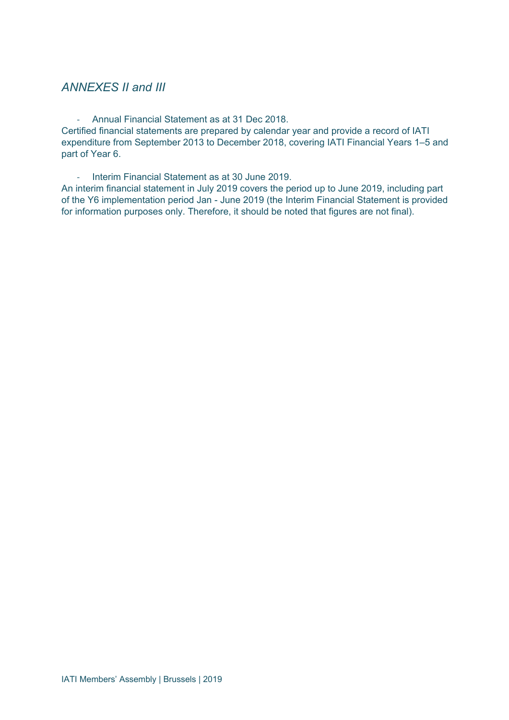## *ANNEXES II and III*

- Annual Financial Statement as at 31 Dec 2018.

Certified financial statements are prepared by calendar year and provide a record of IATI expenditure from September 2013 to December 2018, covering IATI Financial Years 1–5 and part of Year 6.

- Interim Financial Statement as at 30 June 2019.

An interim financial statement in July 2019 covers the period up to June 2019, including part of the Y6 implementation period Jan - June 2019 (the Interim Financial Statement is provided for information purposes only. Therefore, it should be noted that figures are not final).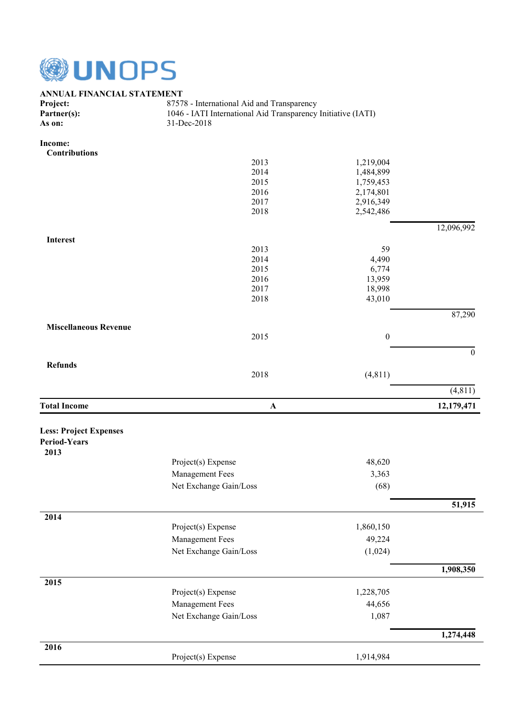

# **ANNUAL FINANCIAL STATEMENT**<br>Project: 8757

87578 - International Aid and Transparency **Partner(s):** 1046 - IATI International Aid Transparency Initiative (IATI) As on: 31-Dec-2018 **As on:** 31-Dec-2018

**Income:**

| <b>Contributions</b>          |                                           |                  |                  |
|-------------------------------|-------------------------------------------|------------------|------------------|
|                               | 2013                                      | 1,219,004        |                  |
|                               | 2014                                      | 1,484,899        |                  |
|                               | 2015                                      | 1,759,453        |                  |
|                               | 2016                                      | 2,174,801        |                  |
|                               | 2017                                      | 2,916,349        |                  |
|                               | 2018                                      | 2,542,486        |                  |
|                               |                                           |                  | 12,096,992       |
| <b>Interest</b>               |                                           |                  |                  |
|                               | 2013                                      | 59               |                  |
|                               | 2014                                      | 4,490            |                  |
|                               | 2015                                      | 6,774            |                  |
|                               | 2016                                      | 13,959           |                  |
|                               | 2017                                      | 18,998           |                  |
|                               | 2018                                      | 43,010           |                  |
|                               |                                           |                  | 87,290           |
| <b>Miscellaneous Revenue</b>  | 2015                                      | $\boldsymbol{0}$ |                  |
|                               |                                           |                  |                  |
| <b>Refunds</b>                |                                           |                  | $\boldsymbol{0}$ |
|                               | 2018                                      | (4, 811)         |                  |
|                               |                                           |                  | (4, 811)         |
| <b>Total Income</b>           | $\mathbf A$                               |                  | 12,179,471       |
|                               |                                           |                  |                  |
| <b>Less: Project Expenses</b> |                                           |                  |                  |
| <b>Period-Years</b>           |                                           |                  |                  |
| 2013                          |                                           |                  |                  |
|                               | Project(s) Expense                        | 48,620           |                  |
|                               | Management Fees                           | 3,363            |                  |
|                               |                                           |                  |                  |
|                               | Net Exchange Gain/Loss                    | (68)             |                  |
|                               |                                           |                  | 51,915           |
| 2014                          | Project(s) Expense                        | 1,860,150        |                  |
|                               |                                           |                  |                  |
|                               | Management Fees                           | 49,224           |                  |
|                               | Net Exchange Gain/Loss                    | (1,024)          |                  |
|                               |                                           |                  | 1,908,350        |
| 2015                          | Project(s) Expense                        | 1,228,705        |                  |
|                               |                                           |                  |                  |
|                               | Management Fees<br>Net Exchange Gain/Loss | 44,656<br>1,087  |                  |
|                               |                                           |                  |                  |
|                               |                                           |                  | 1,274,448        |
| 2016                          | Project(s) Expense                        | 1,914,984        |                  |
|                               |                                           |                  |                  |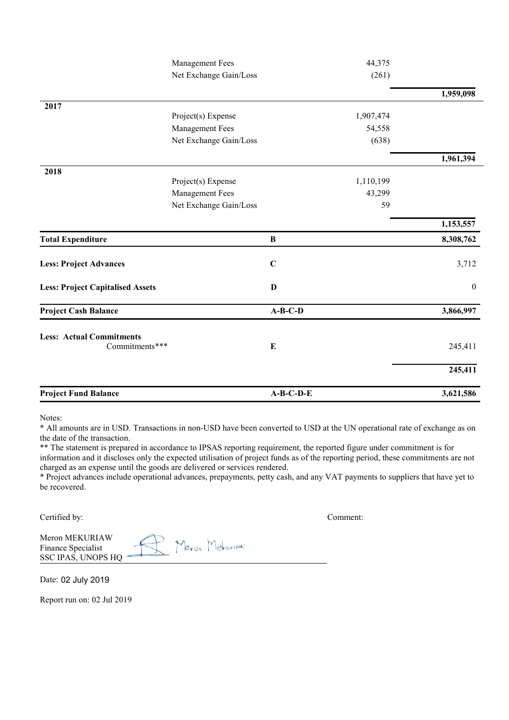| $A-B-C-D-E$ | 3,621,586                                |
|-------------|------------------------------------------|
|             | 245,411                                  |
|             | 245,411                                  |
| $A-B-C-D$   | 3,866,997                                |
| D           | $\boldsymbol{0}$                         |
|             |                                          |
| $\mathbf C$ | 3,712                                    |
|             | 8,308,762                                |
|             | 1,153,557                                |
| 59          |                                          |
| 43,299      |                                          |
| 1,110,199   |                                          |
|             | 1,961,394                                |
|             |                                          |
| 54,558      |                                          |
| 1,907,474   |                                          |
|             | 1,959,098                                |
|             |                                          |
|             |                                          |
|             | 44,375<br>(261)<br>(638)<br>$\, {\bf B}$ |

Notes:

\* All amounts are in USD. Transactions in non-USD have been converted to USD at the UN operational rate of exchange as on the date of the transaction.

\*\* The statement is prepared in accordance to IPSAS reporting requirement, the reported figure under commitment is for information and it discloses only the expected utilisation of project funds as of the reporting period, these commitments are not charged as an expense until the goods are delivered or services rendered.

\* Project advances include operational advances, prepayments, petty cash, and any VAT payments to suppliers that have yet to be recovered.

Certified by: Comment:

| Meron MEKURIAW     |  |                    |
|--------------------|--|--------------------|
| Finance Specialist |  | $\Gamma$ Pleturian |
| SSC IPAS, UNOPS HQ |  |                    |

Date: 02 July 2019

Report run on: 02 Jul 2019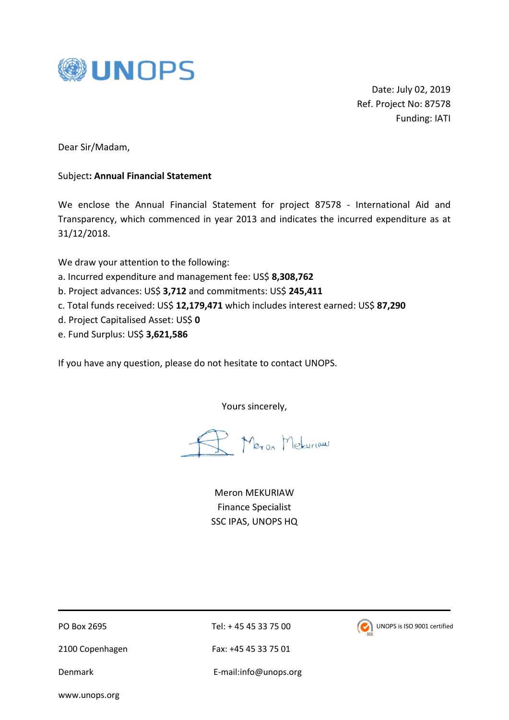

Date: July 02, 2019 Ref. Project No: 87578 Funding: IATI

Dear Sir/Madam,

#### Subject**: Annual Financial Statement**

We enclose the Annual Financial Statement for project 87578 - International Aid and Transparency, which commenced in year 2013 and indicates the incurred expenditure as at 31/12/2018.

We draw your attention to the following:

- a. Incurred expenditure and management fee: US\$ **8,308,762**
- b. Project advances: US\$ **3,712** and commitments: US\$ **245,411**
- c. Total funds received: US\$ **12,179,471** which includes interest earned: US\$ **87,290**
- d. Project Capitalised Asset: US\$ **0**
- e. Fund Surplus: US\$ **3,621,586**

If you have any question, please do not hesitate to contact UNOPS.

Yours sincerely,

Meron Meturian

Meron MEKURIAW Finance Specialist SSC IPAS, UNOPS HQ

2100 Copenhagen Fax: +45 45 33 75 01

PO Box 2695 Tel: + 45 45 33 75 00



Denmark E-mail:info@unops.org

www.unops.org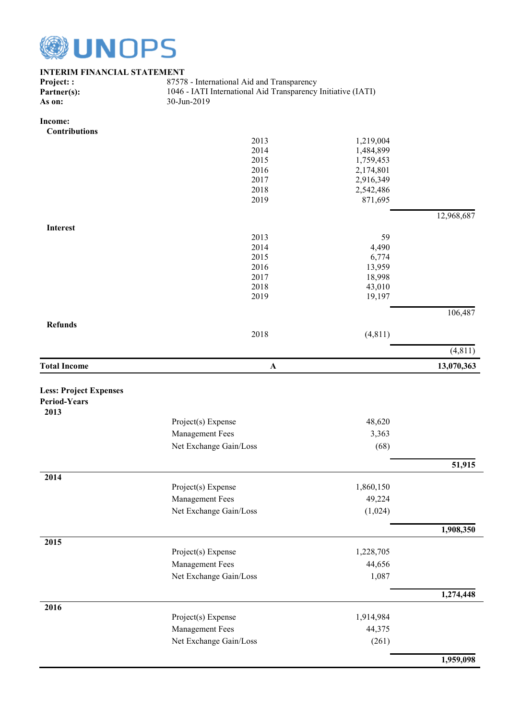

| <b>INTERIM FINANCIAL STATEMENT</b> |                                                              |           |            |  |  |  |
|------------------------------------|--------------------------------------------------------------|-----------|------------|--|--|--|
| Project::                          | 87578 - International Aid and Transparency                   |           |            |  |  |  |
| Partner(s):                        | 1046 - IATI International Aid Transparency Initiative (IATI) |           |            |  |  |  |
| As on:                             | 30-Jun-2019                                                  |           |            |  |  |  |
|                                    |                                                              |           |            |  |  |  |
| Income:                            |                                                              |           |            |  |  |  |
| <b>Contributions</b>               |                                                              |           |            |  |  |  |
|                                    | 2013                                                         | 1,219,004 |            |  |  |  |
|                                    | 2014                                                         | 1,484,899 |            |  |  |  |
|                                    | 2015                                                         | 1,759,453 |            |  |  |  |
|                                    | 2016                                                         | 2,174,801 |            |  |  |  |
|                                    | 2017                                                         | 2,916,349 |            |  |  |  |
|                                    | 2018                                                         | 2,542,486 |            |  |  |  |
|                                    | 2019                                                         | 871,695   |            |  |  |  |
|                                    |                                                              |           | 12,968,687 |  |  |  |
| <b>Interest</b>                    |                                                              |           |            |  |  |  |
|                                    | 2013                                                         | 59        |            |  |  |  |
|                                    | 2014                                                         | 4,490     |            |  |  |  |
|                                    | 2015                                                         | 6,774     |            |  |  |  |
|                                    | 2016                                                         | 13,959    |            |  |  |  |
|                                    | 2017                                                         | 18,998    |            |  |  |  |
|                                    | 2018                                                         | 43,010    |            |  |  |  |
|                                    | 2019                                                         | 19,197    |            |  |  |  |
|                                    |                                                              |           | 106,487    |  |  |  |
| <b>Refunds</b>                     |                                                              |           |            |  |  |  |
|                                    | 2018                                                         | (4, 811)  |            |  |  |  |
|                                    |                                                              |           | (4, 811)   |  |  |  |
| <b>Total Income</b>                | $\boldsymbol{\rm A}$                                         |           | 13,070,363 |  |  |  |
|                                    |                                                              |           |            |  |  |  |
| <b>Less: Project Expenses</b>      |                                                              |           |            |  |  |  |
| <b>Period-Years</b>                |                                                              |           |            |  |  |  |
| 2013                               |                                                              |           |            |  |  |  |
|                                    | Project(s) Expense                                           | 48,620    |            |  |  |  |
|                                    |                                                              |           |            |  |  |  |
|                                    | Management Fees                                              | 3,363     |            |  |  |  |
|                                    | Net Exchange Gain/Loss                                       | (68)      |            |  |  |  |
|                                    |                                                              |           | 51,915     |  |  |  |
| 2014                               |                                                              |           |            |  |  |  |
|                                    | Project(s) Expense                                           | 1,860,150 |            |  |  |  |
|                                    | Management Fees                                              | 49,224    |            |  |  |  |
|                                    | Net Exchange Gain/Loss                                       | (1,024)   |            |  |  |  |
|                                    |                                                              |           | 1,908,350  |  |  |  |
| 2015                               |                                                              |           |            |  |  |  |
|                                    | Project(s) Expense                                           | 1,228,705 |            |  |  |  |
|                                    | Management Fees                                              | 44,656    |            |  |  |  |
|                                    |                                                              |           |            |  |  |  |
|                                    | Net Exchange Gain/Loss                                       | 1,087     |            |  |  |  |
|                                    |                                                              |           | 1,274,448  |  |  |  |
| 2016                               |                                                              |           |            |  |  |  |
|                                    | Project(s) Expense                                           | 1,914,984 |            |  |  |  |
|                                    | <b>Management Fees</b>                                       | 44,375    |            |  |  |  |
|                                    | Net Exchange Gain/Loss                                       | (261)     |            |  |  |  |
|                                    |                                                              |           |            |  |  |  |
|                                    |                                                              |           | 1,959,098  |  |  |  |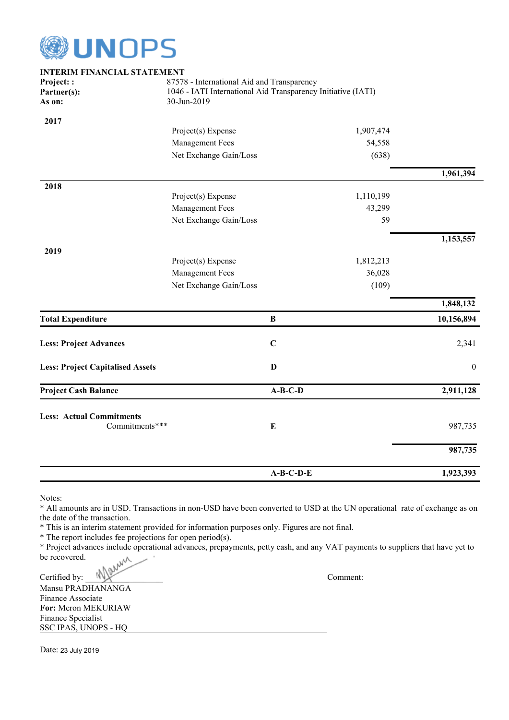

| <b>INTERIM FINANCIAL STATEMENT</b>                |                                                                                                                           |              |           |                  |
|---------------------------------------------------|---------------------------------------------------------------------------------------------------------------------------|--------------|-----------|------------------|
| Project::<br>Partner(s):<br>As on:                | 87578 - International Aid and Transparency<br>1046 - IATI International Aid Transparency Initiative (IATI)<br>30-Jun-2019 |              |           |                  |
|                                                   |                                                                                                                           |              |           |                  |
| 2017                                              |                                                                                                                           |              |           |                  |
|                                                   | Project(s) Expense                                                                                                        |              | 1,907,474 |                  |
|                                                   | Management Fees                                                                                                           |              | 54,558    |                  |
|                                                   | Net Exchange Gain/Loss                                                                                                    |              | (638)     |                  |
|                                                   |                                                                                                                           |              |           | 1,961,394        |
| 2018                                              |                                                                                                                           |              |           |                  |
|                                                   | Project(s) Expense                                                                                                        |              | 1,110,199 |                  |
|                                                   | Management Fees                                                                                                           |              | 43,299    |                  |
|                                                   | Net Exchange Gain/Loss                                                                                                    |              | 59        |                  |
|                                                   |                                                                                                                           |              |           | 1,153,557        |
| 2019                                              |                                                                                                                           |              |           |                  |
|                                                   | Project(s) Expense                                                                                                        |              | 1,812,213 |                  |
|                                                   | Management Fees                                                                                                           |              | 36,028    |                  |
|                                                   | Net Exchange Gain/Loss                                                                                                    |              | (109)     |                  |
|                                                   |                                                                                                                           |              |           | 1,848,132        |
| <b>Total Expenditure</b>                          |                                                                                                                           | $\, {\bf B}$ |           | 10,156,894       |
| <b>Less: Project Advances</b>                     |                                                                                                                           | $\mathbf C$  |           | 2,341            |
| <b>Less: Project Capitalised Assets</b>           |                                                                                                                           | D            |           | $\boldsymbol{0}$ |
| <b>Project Cash Balance</b>                       |                                                                                                                           | $A-B-C-D$    |           | 2,911,128        |
|                                                   |                                                                                                                           |              |           |                  |
| <b>Less: Actual Commitments</b><br>Commitments*** |                                                                                                                           | E            |           | 987,735          |
|                                                   |                                                                                                                           |              |           | 987,735          |
|                                                   |                                                                                                                           | $A-B-C-D-E$  |           | 1,923,393        |

Notes:

\* All amounts are in USD. Transactions in non-USD have been converted to USD at the UN operational rate of exchange as on the date of the transaction.

\* This is an interim statement provided for information purposes only. Figures are not final.

\* The report includes fee projections for open period(s).

\* Project advances include operational advances, prepayments, petty cash, and any VAT payments to suppliers that have yet to be recovered.<br>Certified by:  $\mathbb{R}^{(n)}$ be recovered.

Certified by: WWW. Comment:

Mansu PRADHANANGA Finance Associate **For:** Meron MEKURIAW Finance Specialist SSC IPAS, UNOPS - HQ

Date: 23 July 2019